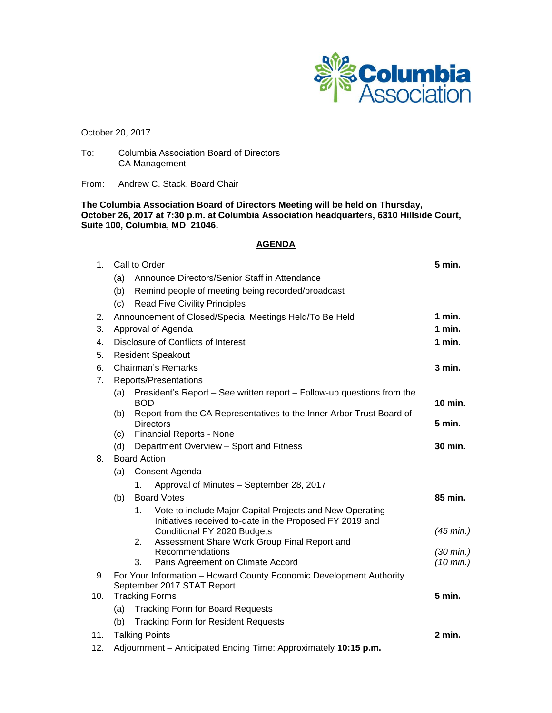

October 20, 2017

To: Columbia Association Board of Directors CA Management

From: Andrew C. Stack, Board Chair

**The Columbia Association Board of Directors Meeting will be held on Thursday, October 26, 2017 at 7:30 p.m. at Columbia Association headquarters, 6310 Hillside Court, Suite 100, Columbia, MD 21046.**

## **AGENDA**

| 1 <sub>1</sub> | Call to Order                                                       |                                                                                          |                     |
|----------------|---------------------------------------------------------------------|------------------------------------------------------------------------------------------|---------------------|
|                | (a)                                                                 | Announce Directors/Senior Staff in Attendance                                            |                     |
|                | (b)                                                                 | Remind people of meeting being recorded/broadcast                                        |                     |
|                | (c)                                                                 | <b>Read Five Civility Principles</b>                                                     |                     |
| 2.             | Announcement of Closed/Special Meetings Held/To Be Held<br>1 min.   |                                                                                          |                     |
| 3.             | Approval of Agenda                                                  |                                                                                          |                     |
| 4.             | Disclosure of Conflicts of Interest                                 |                                                                                          |                     |
| 5.             | <b>Resident Speakout</b>                                            |                                                                                          |                     |
| 6.             | <b>Chairman's Remarks</b>                                           |                                                                                          |                     |
| 7 <sub>1</sub> | Reports/Presentations                                               |                                                                                          |                     |
|                | (a)                                                                 | President's Report - See written report - Follow-up questions from the                   |                     |
|                |                                                                     | <b>BOD</b>                                                                               | 10 min.             |
|                | (b)                                                                 | Report from the CA Representatives to the Inner Arbor Trust Board of<br><b>Directors</b> | 5 min.              |
|                | (c)                                                                 | <b>Financial Reports - None</b>                                                          |                     |
|                | (d)                                                                 | Department Overview - Sport and Fitness                                                  | 30 min.             |
| 8.             | <b>Board Action</b>                                                 |                                                                                          |                     |
|                | (a)                                                                 | Consent Agenda                                                                           |                     |
|                |                                                                     | Approval of Minutes - September 28, 2017<br>1.                                           |                     |
|                | (b)                                                                 | <b>Board Votes</b>                                                                       | 85 min.             |
|                |                                                                     | Vote to include Major Capital Projects and New Operating<br>1 <sub>1</sub>               |                     |
|                |                                                                     | Initiatives received to-date in the Proposed FY 2019 and                                 |                     |
|                |                                                                     | Conditional FY 2020 Budgets<br>Assessment Share Work Group Final Report and<br>2.        | $(45$ min.)         |
|                |                                                                     | Recommendations                                                                          | $(30 \text{ min.})$ |
|                |                                                                     | Paris Agreement on Climate Accord<br>3.                                                  | $(10 \text{ min.})$ |
| 9.             | For Your Information - Howard County Economic Development Authority |                                                                                          |                     |
|                | September 2017 STAT Report                                          |                                                                                          |                     |
| 10.            | <b>Tracking Forms</b>                                               |                                                                                          | 5 min.              |
|                | (a)<br><b>Tracking Form for Board Requests</b>                      |                                                                                          |                     |
|                | <b>Tracking Form for Resident Requests</b><br>(b)                   |                                                                                          | 2 min.              |
| 11.            | <b>Talking Points</b>                                               |                                                                                          |                     |

12. Adjournment – Anticipated Ending Time: Approximately **10:15 p.m.**